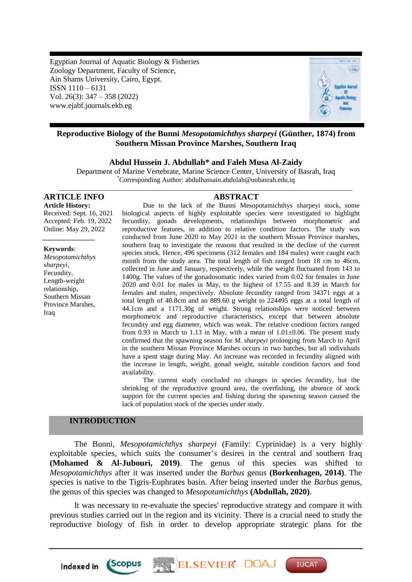Egyptian Journal of Aquatic Biology & Fisheries Zoology Department, Faculty of Science, Ain Shams University, Cairo, Egypt. ISSN 1110 – 6131 Vol. 26(3): 347 – 358 (2022) www.ejabf.journals.ekb.eg



# **Reproductive Biology of the Bunni** *Mesopotamichthys sharpeyi* **(Günther, 1874) from Southern Missan Province Marshes, Southern Iraq**

## **Abdul Hussein J. Abdullah\* and Faleh Musa Al-Zaidy**

Department of Marine Vertebrate, Marine Science Center, University of Basrah, Iraq \*Corresponding Author: abdulhassain.abdulah@uobasrah.edu.iq \_\_\_\_\_\_\_\_\_\_\_\_\_\_\_\_\_\_\_\_\_\_\_\_\_\_\_\_\_\_\_\_\_\_\_\_\_\_\_\_\_\_\_\_\_\_\_\_\_\_\_\_\_\_\_\_\_\_\_\_\_\_\_\_\_\_\_\_\_\_\_\_\_\_\_\_\_\_\_\_\_\_\_\_\_

# **ARTICLE INFO ABSTRACT**

**Article History:** Received: Sept. 16, 2021 Accepted: Feb. 19, 2022 Online: May 29, 2022

**Keywords**: *Mesopotamichthys sharpeyi*, Fecundity, Length-weight relationship, Southern Missan Province Marshes, Iraq

*\_\_\_\_\_\_\_\_\_\_\_\_\_\_\_*

Due to the lack of the Bunni Mesopotamichthys sharpeyi stock, some biological aspects of highly exploitable species were investigated to highlight fecundity, gonads developments, relationships between morphometric and reproductive features, in addition to relative condition factors. The study was conducted from June 2020 to May 2021 in the southern Missan Province marshes, southern Iraq to investigate the reasons that resulted in the decline of the current species stock. Hence, 496 specimens (312 females and 184 males) were caught each month from the study area. The total length of fish ranged from 18 cm to 46cm, collected in June and January, respectively, while the weight fluctuated from 143 to 1400g. The values of the gonadosomatic index varied from 0.02 for females in June 2020 and 0.01 for males in May, to the highest of 17.55 and 8.39 in March for females and males, respectively. Absolute fecundity ranged from 34371 eggs at a total length of 40.8cm and an 889.60 g weight to 224495 eggs at a total length of 44.1cm and a 1171.30g of weight. Strong relationships were noticed between morphometric and reproductive characteristics, except that between absolute fecundity and egg diameter, which was weak. The relative condition factors ranged from 0.93 in March to 1.13 in May, with a mean of  $1.01\pm0.06$ . The present study confirmed that the spawning season for *M. sharpeyi* prolonging from March to April in the southern Missan Province Marshes occurs in two batches, but all individuals have a spent stage during May. An increase was recorded in fecundity aligned with the increase in length, weight, gonad weight, suitable condition factors and food availability.

The current study concluded no changes in species fecundity, but the shrinking of the reproductive ground area, the overfishing, the absence of stock support for the current species and fishing during the spawning season caused the lack of population stock of the species under study.

# **INTRODUCTION**

*Scopus* 

Indexed in

The Bunni, *Mesopotamichthys sharpeyi* (Family: Cyprinidae) is a very highly exploitable species, which suits the consumer's desires in the central and southern Iraq **(Mohamed & Al-Jubouri, 2019)**. The genus of this species was shifted to *Mesopotamichthys* after it was inserted under the *Barbus* genus **(Borkenhagen, 2014)**. The species is native to the Tigris-Euphrates basin. After being inserted under the *Barbus* genus, the genus of this species was changed to *Mesopotamichthys* **(Abdullah, 2020)**.

It was necessary to re-evaluate the species' reproductive strategy and compare it with previous studies carried out in the region and its vicinity. There is a crucial need to study the reproductive biology of fish in order to develop appropriate strategic plans for the

ELSEVIER DO

**IUCAT**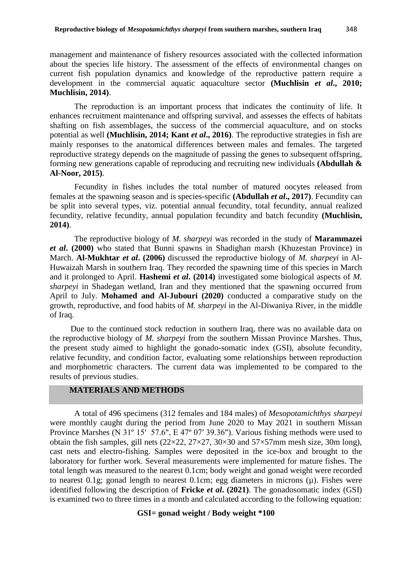management and maintenance of fishery resources associated with the collected information about the species life history. The assessment of the effects of environmental changes on current fish population dynamics and knowledge of the reproductive pattern require a development in the commercial aquatic aquaculture sector **(Muchlisin** *et al***., 2010; Muchlisin, 2014)**.

The reproduction is an important process that indicates the continuity of life. It enhances recruitment maintenance and offspring survival, and assesses the effects of habitats shafting on fish assemblages, the success of the commercial aquaculture, and on stocks potential as well **(Muchlisin, 2014; Kant** *et al***., 2016)**. The reproductive strategies in fish are mainly responses to the anatomical differences between males and females. The targeted reproductive strategy depends on the magnitude of passing the genes to subsequent offspring, forming new generations capable of reproducing and recruiting new individuals **(Abdullah & Al-Noor, 2015)**.

Fecundity in fishes includes the total number of matured oocytes released from females at the spawning season and is species-specific **(Abdullah** *et al***., 2017)**. Fecundity can be split into several types, viz. potential annual fecundity, total fecundity, annual realized fecundity, relative fecundity, annual population fecundity and batch fecundity **(Muchlisin, 2014)**.

The reproductive biology of *M. sharpeyi* was recorded in the study of **Marammazei**  *et al***. (2000)** who stated that Bunni spawns in Shadighan marsh (Khuzestan Province) in March. **Al-Mukhtar** *et al***. (2006)** discussed the reproductive biology of *M. sharpeyi* in Al-Huwaizah Marsh in southern Iraq. They recorded the spawning time of this species in March and it prolonged to April. **Hashemi** *et al***. (2014)** investigated some biological aspects of *M. sharpeyi* in Shadegan wetland, Iran and they mentioned that the spawning occurred from April to July. **Mohamed and Al-Jubouri (2020)** conducted a comparative study on the growth, reproductive, and food habits of *M. sharpeyi* in the Al-Diwaniya River, in the middle of Iraq.

 Due to the continued stock reduction in southern Iraq, there was no available data on the reproductive biology of *M. sharpeyi* from the southern Missan Province Marshes. Thus, the present study aimed to highlight the gonado-somatic index (GSI), absolute fecundity, relative fecundity, and condition factor, evaluating some relationships between reproduction and morphometric characters. The current data was implemented to be compared to the results of previous studies.

# **MATERIALS AND METHODS**

A total of 496 specimens (312 females and 184 males) of *Mesopotamichthys sharpeyi* were monthly caught during the period from June 2020 to May 2021 in southern Missan Province Marshes (N 31º 15′ 57.6", E 47º 07′ 39.36"). Various fishing methods were used to obtain the fish samples, gill nets  $(22\times22, 27\times27, 30\times30)$  and  $57\times57$  mm mesh size, 30m long), cast nets and electro-fishing. Samples were deposited in the ice-box and brought to the laboratory for further work. Several measurements were implemented for mature fishes. The total length was measured to the nearest 0.1cm; body weight and gonad weight were recorded to nearest 0.1g; gonad length to nearest 0.1cm; egg diameters in microns (µ). Fishes were identified following the description of **Fricke** *et al***. (2021)**. The gonadosomatic index (GSI) is examined two to three times in a month and calculated according to the following equation:

# **GSI= gonad weight / Body weight \*100**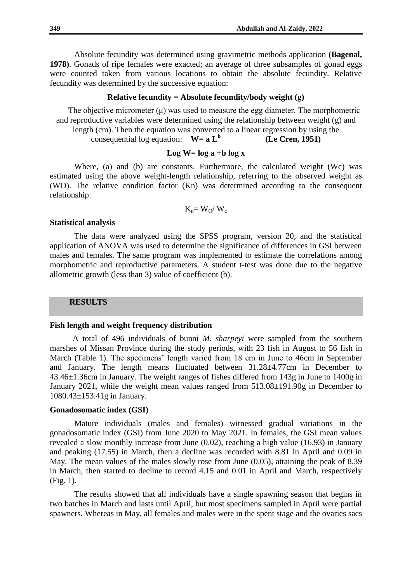Absolute fecundity was determined using gravimetric methods application **(Bagenal, 1978)**. Gonads of ripe females were exacted; an average of three subsamples of gonad eggs were counted taken from various locations to obtain the absolute fecundity. Relative fecundity was determined by the successive equation:

# **Relative fecundity = Absolute fecundity/body weight (g)**

The objective micrometer  $(\mu)$  was used to measure the egg diameter. The morphometric and reproductive variables were determined using the relationship between weight (g) and length (cm). Then the equation was converted to a linear regression by using the

consequential log equation:  $W= a L^b$ **(Le Cren, 1951)**

# **Log W= log a +b log x**

Where, (a) and (b) are constants. Furthermore, the calculated weight (Wc) was estimated using the above weight-length relationship, referring to the observed weight as (WO). The relative condition factor (Kn) was determined according to the consequent relationship:

$$
K_n = W_O / W_c
$$

## **Statistical analysis**

The data were analyzed using the SPSS program, version 20, and the statistical application of ANOVA was used to determine the significance of differences in GSI between males and females. The same program was implemented to estimate the correlations among morphometric and reproductive parameters. A student t-test was done due to the negative allometric growth (less than 3) value of coefficient (b).

## **RESULTS**

### **Fish length and weight frequency distribution**

 A total of 496 individuals of bunni *M. sharpeyi* were sampled from the southern marshes of Missan Province during the study periods, with 23 fish in August to 56 fish in March (Table 1). The specimens' length varied from 18 cm in June to 46cm in September and January. The length means fluctuated between 31.28±4.77cm in December to 43.46±1.36cm in January. The weight ranges of fishes differed from 143g in June to 1400g in January 2021, while the weight mean values ranged from 513.08±191.90g in December to 1080.43±153.41g in January.

## **Gonadosomatic index (GSI)**

Mature individuals (males and females) witnessed gradual variations in the gonadosomatic index (GSI) from June 2020 to May 2021. In females, the GSI mean values revealed a slow monthly increase from June (0.02), reaching a high value (16.93) in January and peaking (17.55) in March, then a decline was recorded with 8.81 in April and 0.09 in May. The mean values of the males slowly rose from June (0.05), attaining the peak of 8.39 in March, then started to decline to record 4.15 and 0.01 in April and March, respectively (Fig. 1).

The results showed that all individuals have a single spawning season that begins in two batches in March and lasts until April, but most specimens sampled in April were partial spawners. Whereas in May, all females and males were in the spent stage and the ovaries sacs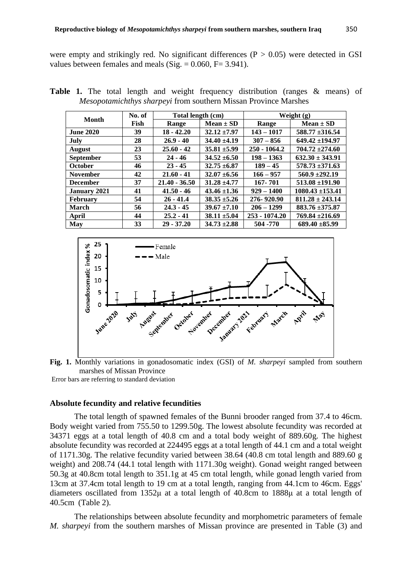were empty and strikingly red. No significant differences  $(P > 0.05)$  were detected in GSI values between females and meals (Sig.  $= 0.060$ , F $= 3.941$ ).

| Month            | No. of | Total length (cm) |                  | Weight $(g)$   |                      |  |
|------------------|--------|-------------------|------------------|----------------|----------------------|--|
|                  | Fish   | Range             | $Mean \pm SD$    | Range          | $Mean \pm SD$        |  |
| <b>June 2020</b> | 39     | $18 - 42.20$      | $32.12 \pm 7.97$ | $143 - 1017$   | $588.77 \pm 316.54$  |  |
| July             | 28     | $26.9 - 40$       | $34.40 \pm 4.19$ | $307 - 856$    | $649.42 \pm 194.97$  |  |
| <b>August</b>    | 23     | $25.60 - 42$      | $35.81 \pm 5.99$ | $250 - 1064.2$ | $704.72 \pm 274.60$  |  |
| <b>September</b> | 53     | $24 - 46$         | $34.52 \pm 6.50$ | $198 - 1363$   | $632.30 \pm 343.91$  |  |
| <b>October</b>   | 46     | $23 - 45$         | $32.75 \pm 6.87$ | $189 - 45$     | $578.73 \pm 371.63$  |  |
| <b>November</b>  | 42     | $21.60 - 41$      | $32.07 \pm 6.56$ | $166 - 957$    | $560.9 \pm 292.19$   |  |
| <b>December</b>  | 37     | $21.40 - 36.50$   | $31.28 \pm 4.77$ | 167-701        | $513.08 \pm 191.90$  |  |
| January 2021     | 41     | $41.50 - 46$      | $43.46 \pm 1.36$ | $929 - 1400$   | $1080.43 \pm 153.41$ |  |
| <b>February</b>  | 54     | $26 - 41.4$       | $38.35 \pm 5.26$ | 276-920.90     | $811.28 \pm 243.14$  |  |
| <b>March</b>     | 56     | $24.3 - 45$       | $39.67 \pm 7.10$ | $206 - 1299$   | 883.76 ±375.87       |  |
| April            | 44     | $25.2 - 41$       | $38.11 \pm 5.04$ | 253 - 1074.20  | $769.84 \pm 216.69$  |  |
| May              | 33     | $29 - 37.20$      | $34.73 \pm 2.88$ | 504 - 770      | $689.40 \pm 85.99$   |  |

**Table 1.** The total length and weight frequency distribution (ranges & means) of *Mesopotamichthys sharpeyi* from southern Missan Province Marshes





Error bars are referring to standard deviation

#### **Absolute fecundity and relative fecundities**

The total length of spawned females of the Bunni brooder ranged from 37.4 to 46cm. Body weight varied from 755.50 to 1299.50g. The lowest absolute fecundity was recorded at 34371 eggs at a total length of 40.8 cm and a total body weight of 889.60g. The highest absolute fecundity was recorded at 224495 eggs at a total length of 44.1 cm and a total weight of 1171.30g. The relative fecundity varied between 38.64 (40.8 cm total length and 889.60 g weight) and 208.74 (44.1 total length with 1171.30g weight). Gonad weight ranged between 50.3g at 40.8cm total length to 351.1g at 45 cm total length, while gonad length varied from 13cm at 37.4cm total length to 19 cm at a total length, ranging from 44.1cm to 46cm. Eggs' diameters oscillated from 1352μ at a total length of 40.8cm to 1888μ at a total length of 40.5cm (Table 2).

The relationships between absolute fecundity and morphometric parameters of female *M. sharpeyi* from the southern marshes of Missan province are presented in Table (3) and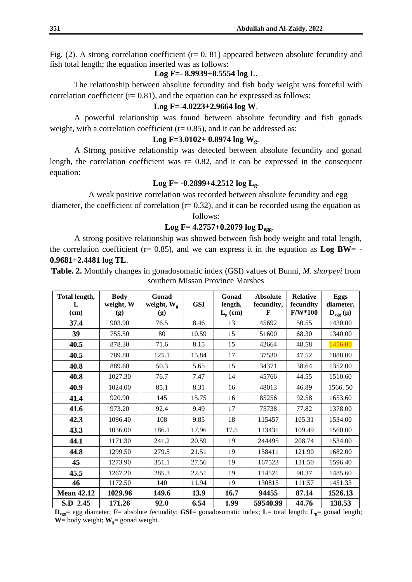Fig. (2). A strong correlation coefficient ( $r= 0.81$ ) appeared between absolute fecundity and fish total length; the equation inserted was as follows:

**Log F=- 8.9939+8.5554 log L**.

The relationship between absolute fecundity and fish body weight was forceful with correlation coefficient ( $r= 0.81$ ), and the equation can be expressed as follows:

## **Log F=-4.0223+2.9664 log W**.

A powerful relationship was found between absolute fecundity and fish gonads weight, with a correlation coefficient  $(r= 0.85)$ , and it can be addressed as:

## **Log F=3.0102+ 0.8974 log Wg**.

A Strong positive relationship was detected between absolute fecundity and gonad length, the correlation coefficient was  $r = 0.82$ , and it can be expressed in the consequent equation:

## **Log F= -0.2899+4.2512 log Lg**.

A weak positive correlation was recorded between absolute fecundity and egg diameter, the coefficient of correlation  $(r= 0.32)$ , and it can be recorded using the equation as

follows:

# **Log F= 4.2757+0.2079 log Degg**.

A strong positive relationship was showed between fish body weight and total length, the correlation coefficient ( $r= 0.85$ ), and we can express it in the equation as  $\text{Log BW} = -$ **0.9681+2.4481 log TL**.

**Table. 2.** Monthly changes in gonadosomatic index (GSI) values of Bunni, *M. sharpeyi* from southern Missan Province Marshes

| Total length,<br>L | <b>Body</b><br>weight, W | Gonad<br>weight, $W_g$ | <b>GSI</b> | Gonad<br>length, | <b>Absolute</b><br>fecundity, | <b>Relative</b><br>fecundity | <b>Eggs</b><br>diameter, |
|--------------------|--------------------------|------------------------|------------|------------------|-------------------------------|------------------------------|--------------------------|
| (cm)               | (g)                      | (g)                    |            | $L_g$ (cm)       | $\mathbf{F}$                  | $F/W*100$                    | $D_{egg}(\mu)$           |
| 37.4               | 903.90                   | 76.5                   | 8.46       | 13               | 45692                         | 50.55                        | 1430.00                  |
| 39                 | 755.50                   | 80                     | 10.59      | 15               | 51600                         | 68.30                        | 1340.00                  |
| 40.5               | 878.30                   | 71.6                   | 8.15       | 15               | 42664                         | 48.58                        | 1456.00                  |
| 40.5               | 789.80                   | 125.1                  | 15.84      | 17               | 37530                         | 47.52                        | 1888.00                  |
| 40.8               | 889.60                   | 50.3                   | 5.65       | 15               | 34371                         | 38.64                        | 1352.00                  |
| 40.8               | 1027.30                  | 76.7                   | 7.47       | 14               | 45766                         | 44.55                        | 1510.60                  |
| 40.9               | 1024.00                  | 85.1                   | 8.31       | 16               | 48013                         | 46.89                        | 1566.50                  |
| 41.4               | 920.90                   | 145                    | 15.75      | 16               | 85256                         | 92.58                        | 1653.60                  |
| 41.6               | 973.20                   | 92.4                   | 9.49       | 17               | 75738                         | 77.82                        | 1378.00                  |
| 42.3               | 1096.40                  | 108                    | 9.85       | 18               | 115457                        | 105.31                       | 1534.00                  |
| 43.3               | 1036.00                  | 186.1                  | 17.96      | 17.5             | 113431                        | 109.49                       | 1560.00                  |
| 44.1               | 1171.30                  | 241.2                  | 20.59      | 19               | 244495                        | 208.74                       | 1534.00                  |
| 44.8               | 1299.50                  | 279.5                  | 21.51      | 19               | 158411                        | 121.90                       | 1682.00                  |
| 45                 | 1273.90                  | 351.1                  | 27.56      | 19               | 167523                        | 131.50                       | 1596.40                  |
| 45.5               | 1267.20                  | 285.3                  | 22.51      | 19               | 114521                        | 90.37                        | 1485.60                  |
| 46                 | 1172.50                  | 140                    | 11.94      | 19               | 130815                        | 111.57                       | 1451.33                  |
| <b>Mean 42.12</b>  | 1029.96                  | 149.6                  | 13.9       | 16.7             | 94455                         | 87.14                        | 1526.13                  |
| S.D 2.45           | 171.26                   | 92.0                   | 6.54       | 1.99             | 59540.99                      | 44.76                        | 138.53                   |

**Degg**= egg diameter; **F**= absolute fecundity; **GSI**= gonadosomatic index; **L**= total length; **Lg**= gonad length;  $W =$  body weight;  $W_g =$  gonad weight.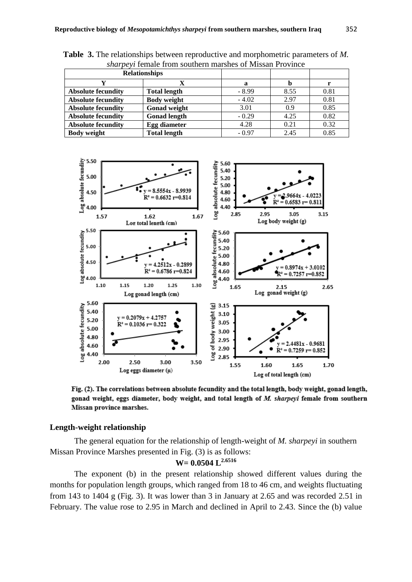| <i>Shah pc W</i> Temare Hom Southern maishes of Missail I To Vince |                     |         |      |      |  |  |
|--------------------------------------------------------------------|---------------------|---------|------|------|--|--|
| <b>Relationships</b>                                               |                     |         |      |      |  |  |
|                                                                    |                     | а       |      |      |  |  |
| <b>Absolute fecundity</b>                                          | <b>Total length</b> | $-8.99$ | 8.55 | 0.81 |  |  |
| <b>Absolute fecundity</b>                                          | <b>Body weight</b>  | $-4.02$ | 2.97 | 0.81 |  |  |
| <b>Absolute fecundity</b>                                          | Gonad weight        | 3.01    | 0.9  | 0.85 |  |  |
| <b>Absolute fecundity</b>                                          | <b>Gonad length</b> | $-0.29$ | 4.25 | 0.82 |  |  |
| <b>Absolute fecundity</b>                                          | Egg diameter        | 4.28    | 0.21 | 0.32 |  |  |
| <b>Body weight</b>                                                 | <b>Total length</b> | $-0.97$ | 2.45 | 0.85 |  |  |

**Table 3.** The relationships between reproductive and morphometric parameters of *M. sharpeyi* female from southern marshes of Missan Province



Fig. (2). The correlations between absolute fecundity and the total length, body weight, gonad length, gonad weight, eggs diameter, body weight, and total length of M. sharpeyi female from southern Missan province marshes.

# **Length-weight relationship**

The general equation for the relationship of length-weight of *M. sharpeyi* in southern Missan Province Marshes presented in Fig. (3) is as follows:

# **W= 0.0504 L2.6516**

The exponent (b) in the present relationship showed different values during the months for population length groups, which ranged from 18 to 46 cm, and weights fluctuating from 143 to 1404 g (Fig. 3). It was lower than 3 in January at 2.65 and was recorded 2.51 in February. The value rose to 2.95 in March and declined in April to 2.43. Since the (b) value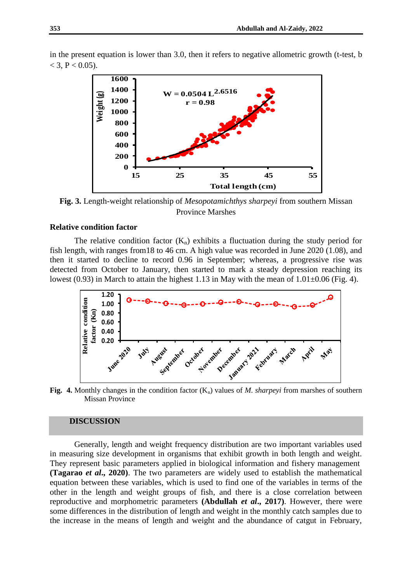

in the present equation is lower than 3.0, then it refers to negative allometric growth (t-test, b  $<$  3, P  $<$  0.05).

**Fig. 3.** Length-weight relationship of *Mesopotamichthys sharpeyi* from southern Missan Province Marshes

## **Relative condition factor**

The relative condition factor  $(K_n)$  exhibits a fluctuation during the study period for fish length, with ranges from18 to 46 cm. A high value was recorded in June 2020 (1.08), and then it started to decline to record 0.96 in September; whereas, a progressive rise was detected from October to January, then started to mark a steady depression reaching its lowest (0.93) in March to attain the highest 1.13 in May with the mean of 1.01±0.06 (Fig. 4).



**Fig. 4.** Monthly changes in the condition factor  $(K_n)$  values of *M. sharpeyi* from marshes of southern Missan Province

## **DISCUSSION**

Generally, length and weight frequency distribution are two important variables used in measuring size development in organisms that exhibit growth in both length and weight. They represent basic parameters applied in biological information and fishery management **(Tagarao** *et al***., 2020)**. The two parameters are widely used to establish the mathematical equation between these variables, which is used to find one of the variables in terms of the other in the length and weight groups of fish, and there is a close correlation between reproductive and morphometric parameters **(Abdullah** *et al***., 2017)**. However, there were some differences in the distribution of length and weight in the monthly catch samples due to the increase in the means of length and weight and the abundance of catgut in February,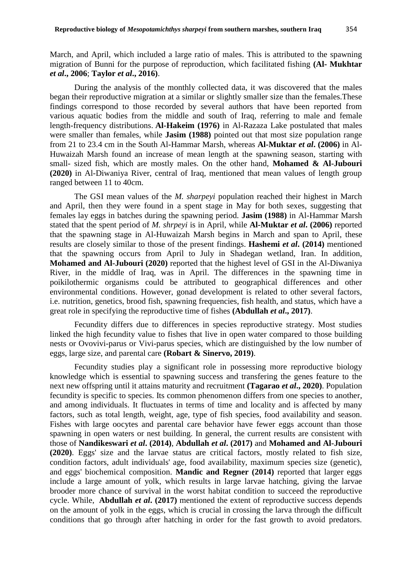March, and April, which included a large ratio of males. This is attributed to the spawning migration of Bunni for the purpose of reproduction, which facilitated fishing **(Al- Mukhtar**  *et al***., 2006**; **Taylor** *et al***., 2016)**.

During the analysis of the monthly collected data, it was discovered that the males began their reproductive migration at a similar or slightly smaller size than the females.These findings correspond to those recorded by several authors that have been reported from various aquatic bodies from the middle and south of Iraq, referring to male and female length-frequency distributions. **Al-Hakeim (1976)** in Al-Razaza Lake postulated that males were smaller than females, while **Jasim (1988)** pointed out that most size population range from 21 to 23.4 cm in the South Al-Hammar Marsh, whereas **Al-Muktar** *et al***. (2006)** in Al-Huwaizah Marsh found an increase of mean length at the spawning season, starting with small- sized fish, which are mostly males. On the other hand, **Mohamed & Al-Jubouri (2020)** in Al-Diwaniya River, central of Iraq, mentioned that mean values of length group ranged between 11 to 40cm.

The GSI mean values of the *M. sharpeyi* population reached their highest in March and April, then they were found in a spent stage in May for both sexes, suggesting that females lay eggs in batches during the spawning period. **Jasim (1988)** in Al-Hammar Marsh stated that the spent period of *M. shrpeyi* is in April, while **Al-Muktar** *et al***. (2006)** reported that the spawning stage in Al-Huwaizah Marsh begins in March and span to April, these results are closely similar to those of the present findings. **Hashemi** *et al***. (2014)** mentioned that the spawning occurs from April to July in Shadegan wetland, Iran. In addition, **Mohamed and Al-Jubouri (2020)** reported that the highest level of GSI in the Al-Diwaniya River, in the middle of Iraq, was in April. The differences in the spawning time in poikilothermic organisms could be attributed to geographical differences and other environmental conditions. However, gonad development is related to other several factors, i.e. nutrition, genetics, brood fish, spawning frequencies, fish health, and status, which have a great role in specifying the reproductive time of fishes **(Abdullah** *et al***., 2017)**.

Fecundity differs due to differences in species reproductive strategy. Most studies linked the high fecundity value to fishes that live in open water compared to those building nests or Ovovivi-parus or Vivi-parus species, which are distinguished by the low number of eggs, large size, and parental care **(Robart & Sinervo, 2019)**.

Fecundity studies play a significant role in possessing more reproductive biology knowledge which is essential to spawning success and transfering the genes feature to the next new offspring until it attains maturity and recruitment **(Tagarao** *et al***., 2020)**. Population fecundity is specific to species. Its common phenomenon differs from one species to another, and among individuals. It fluctuates in terms of time and locality and is affected by many factors, such as total length, weight, age, type of fish species, food availability and season. Fishes with large oocytes and parental care behavior have fewer eggs account than those spawning in open waters or nest building. In general, the current results are consistent with those of **Nandikeswari** *et al***. (2014)**, **Abdullah** *et al***. (2017)** and **Mohamed and Al-Jubouri (2020)**. Eggs' size and the larvae status are critical factors, mostly related to fish size, condition factors, adult individuals' age, food availability, maximum species size (genetic), and eggs' biochemical composition. **Mandic and Regner (2014)** reported that larger eggs include a large amount of yolk, which results in large larvae hatching, giving the larvae brooder more chance of survival in the worst habitat condition to succeed the reproductive cycle. While, **Abdullah** *et al***. (2017)** mentioned the extent of reproductive success depends on the amount of yolk in the eggs, which is crucial in crossing the larva through the difficult conditions that go through after hatching in order for the fast growth to avoid predators.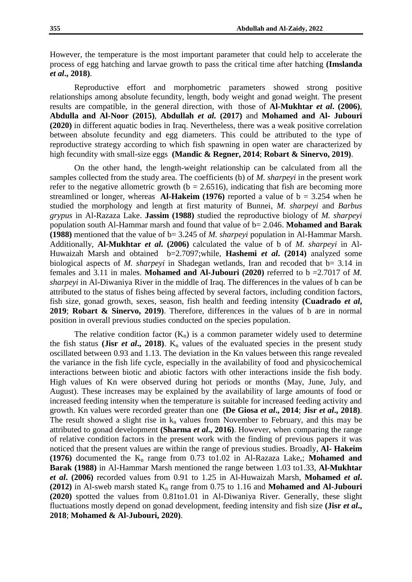However, the temperature is the most important parameter that could help to accelerate the process of egg hatching and larvae growth to pass the critical time after hatching **(Imslanda**  *et al***., 2018)**.

Reproductive effort and morphometric parameters showed strong positive relationships among absolute fecundity, length, body weight and gonad weight. The present results are compatible, in the general direction, with those of **Al-Mukhtar** *et al***. (2006)**, **Abdulla and Al-Noor (2015)**, **Abdullah** *et al.* **(2017)** and **Mohamed and Al- Jubouri (2020)** in different aquatic bodies in Iraq. Nevertheless, there was a weak positive correlation between absolute fecundity and egg diameters. This could be attributed to the type of reproductive strategy according to which fish spawning in open water are characterized by high fecundity with small-size eggs **(Mandic & Regner, 2014**; **Robart & Sinervo, 2019)**.

On the other hand, the length-weight relationship can be calculated from all the samples collected from the study area. The coefficients (b) of *M. sharpeyi* in the present work refer to the negative allometric growth ( $b = 2.6516$ ), indicating that fish are becoming more streamlined or longer, whereas **Al-Hakeim (1976)** reported a value of  $b = 3.254$  when he studied the morphology and length at first maturity of Bunnei, *M. sharpeyi* and *Barbus grypus* in Al-Razaza Lake. **Jassim (1988)** studied the reproductive biology of *M. sharpeyi* population south Al-Hammar marsh and found that value of b= 2.046. **Mohamed and Barak (1988)** mentioned that the value of b= 3.245 of *M. sharpeyi* population in Al-Hammar Marsh. Additionally, **Al-Mukhtar** *et al***. (2006)** calculated the value of b of *M. sharpeyi* in Al-Huwaizah Marsh and obtained b=2.7097;while, **Hashemi** *et al***. (2014)** analyzed some biological aspects of *M. sharpeyi* in Shadegan wetlands, Iran and recoded that  $b = 3.14$  in females and 3.11 in males. **Mohamed and Al-Jubouri (2020)** referred to b =2.7017 of *M. sharpeyi* in Al-Diwaniya River in the middle of Iraq. The differences in the values of b can be attributed to the status of fishes being affected by several factors, including condition factors, fish size, gonad growth, sexes, season, fish health and feeding intensity **(Cuadrado** *et al***, 2019**; **Robart & Sinervo, 2019)**. Therefore, differences in the values of b are in normal position in overall previous studies conducted on the species population.

The relative condition factor  $(K_n)$  is a common parameter widely used to determine the fish status (**Jisr** *et al.***, 2018**). K<sub>n</sub> values of the evaluated species in the present study oscillated between 0.93 and 1.13. The deviation in the Kn values between this range revealed the variance in the fish life cycle, especially in the availability of food and physicochemical interactions between biotic and abiotic factors with other interactions inside the fish body. High values of Kn were observed during hot periods or months (May, June, July, and August). These increases may be explained by the availability of large amounts of food or increased feeding intensity when the temperature is suitable for increased feeding activity and growth. Kn values were recorded greater than one **(De Giosa** *et al***., 2014**; **Jisr** *et al***., 2018)**. The result showed a slight rise in  $k_n$  values from November to February, and this may be attributed to gonad development **(Sharma** *et al***., 2016)**. However, when comparing the range of relative condition factors in the present work with the finding of previous papers it was noticed that the present values are within the range of previous studies. Broadly, **Al- Hakeim (1976)** documented the  $K_n$  range from 0.73 to1.02 in Al-Razaza Lake,; **Mohamed and Barak (1988)** in Al-Hammar Marsh mentioned the range between 1.03 to1.33, **Al-Mukhtar**  *et al***. (2006)** recorded values from 0.91 to 1.25 in Al-Huwaizah Marsh, **Mohamed** *et al***.**   $(2012)$  in Al-sweb marsh stated  $K_n$  range from 0.75 to 1.16 and **Mohamed and Al-Jubouri (2020)** spotted the values from 0.81to1.01 in Al-Diwaniya River. Generally, these slight fluctuations mostly depend on gonad development, feeding intensity and fish size **(Jisr** *et al***., 2018**; **Mohamed & Al-Jubouri, 2020)**.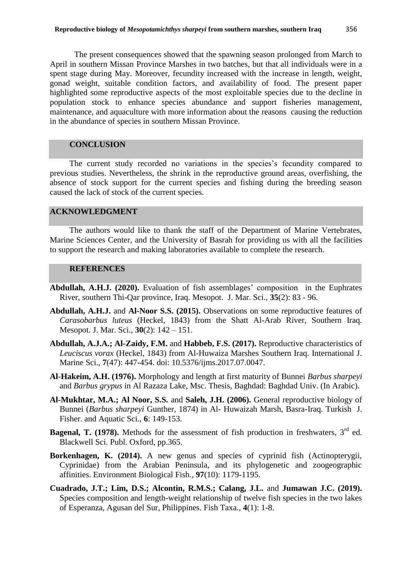The present consequences showed that the spawning season prolonged from March to April in southern Missan Province Marshes in two batches, but that all individuals were in a spent stage during May. Moreover, fecundity increased with the increase in length, weight, gonad weight, suitable condition factors, and availability of food. The present paper

highlighted some reproductive aspects of the most exploitable species due to the decline in population stock to enhance species abundance and support fisheries management, maintenance, and aquaculture with more information about the reasons causing the reduction in the abundance of species in southern Missan Province.

# **CONCLUSION**

The current study recorded no variations in the species's fecundity compared to previous studies. Nevertheless, the shrink in the reproductive ground areas, overfishing, the absence of stock support for the current species and fishing during the breeding season caused the lack of stock of the current species.

# **ACKNOWLEDGMENT**

The authors would like to thank the staff of the Department of Marine Vertebrates, Marine Sciences Center, and the University of Basrah for providing us with all the facilities to support the research and making laboratories available to complete the research.

# **REFERENCES**

- **Abdullah, A.H.J. (2020).** Evaluation of fish assemblages' composition in the Euphrates River, southern Thi-Qar province, Iraq. Mesopot. J. Mar. Sci., **35**(2): 83 - 96.
- **Abdullah, A.H.J.** and **Al-Noor S.S. (2015).** Observations on some reproductive features of *Carasobarbus luteus* (Heckel, 1843) from the Shatt Al-Arab River, Southern Iraq. Mesopot. J. Mar. Sci., **30**(2): 142 – 151.
- **Abdullah, A.J.A.; Al-Zaidy, F.M.** and **Habbeb, F.S. (2017).** Reproductive characteristics of *Leuciscus vorax* (Heckel, 1843) from Al-Huwaiza Marshes Southern Iraq. International J. Marine Sci., **7**(47): 447-454. doi: 10.5376/ijms.2017.07.0047.
- **Al-Hakeim, A.H. (1976).** Morphology and length at first maturity of Bunnei *Barbus sharpeyi* and *Barbus grypus* in Al Razaza Lake, Msc. Thesis, Baghdad: Baghdad Univ. (In Arabic).
- **Al-Mukhtar, M.A.; Al Noor, S.S.** and **Saleh, J.H. (2006).** General reproductive biology of Bunnei (*Barbus sharpeyi* Gunther, 1874) in Al- Huwaizah Marsh, Basra-Iraq. Turkish J. Fisher. and Aquatic Sci., **6**: 149-153.
- **Bagenal, T. (1978).** Methods for the assessment of fish production in freshwaters, 3<sup>rd</sup> ed. Blackwell Sci. Publ. Oxford, pp.365.
- **Borkenhagen, K. (2014).** A new genus and species of cyprinid fish (Actinopterygii, Cyprinidae) from the Arabian Peninsula, and its phylogenetic and zoogeographic affinities. Environment Biological Fish., **97**(10): 1179-1195.
- **Cuadrado, J.T.; Lim, D.S.; Alcontin, R.M.S.; Calang, J.L.** and **Jumawan J.C. (2019).** Species composition and length-weight relationship of twelve fish species in the two lakes of Esperanza, Agusan del Sur, Philippines. Fish Taxa., **4**(1): 1-8.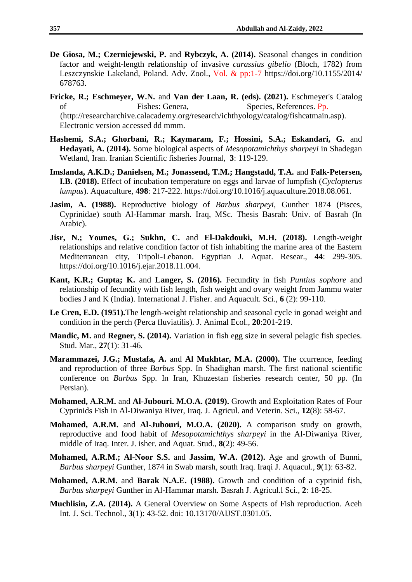- **De Giosa, M.; Czerniejewski, P.** and **Rybczyk, A. (2014).** Seasonal changes in condition factor and weight-length relationship of invasive *carassius gibelio* (Bloch, 1782) from Leszczynskie Lakeland, Poland. Adv. Zool., Vol. & pp:1-7 https://doi.org/10.1155/2014/ 678763.
- **Fricke, R.; Eschmeyer, W.N.** and **Van der Laan, R. (eds). (2021).** Eschmeyer's Catalog of Fishes: Genera, Species, References. Pp. (http://researcharchive.calacademy.org/research/ichthyology/catalog/fishcatmain.asp). Electronic version accessed dd mmm.
- **Hashemi, S.A.; Ghorbani, R.; Kaymaram, F.; Hossini, S.A.; Eskandari, G.** and **Hedayati, A. (2014).** Some biological aspects of *Mesopotamichthys sharpeyi* in Shadegan Wetland, Iran. Iranian Scientific fisheries Journal, **3**: 119-129.
- **Imslanda, A.K.D.; Danielsen, M.; Jonassend, T.M.; Hangstadd, T.A.** and **Falk-Petersen, I.B. (2018).** Effect of incubation temperature on eggs and larvae of lumpfish (*Cyclopterus lumpus*). Aquaculture, **498**: 217-222. https://doi.org/10.1016/j.aquaculture.2018.08.061.
- **Jasim, A. (1988).** Reproductive biology of *Barbus sharpeyi*, Gunther 1874 (Pisces, Cyprinidae) south Al-Hammar marsh. Iraq, MSc. Thesis Basrah: Univ. of Basrah (In Arabic).
- **Jisr, N.; Younes, G.; Sukhn, C.** and **El-Dakdouki, M.H. (2018).** Length-weight relationships and relative condition factor of fish inhabiting the marine area of the Eastern Mediterranean city, Tripoli-Lebanon. Egyptian J. Aquat. Resear., **44**: 299-305. https://doi.org/10.1016/j.ejar.2018.11.004.
- **Kant, K.R.; Gupta; K.** and **Langer, S. (2016).** Fecundity in fish *Puntius sophore* and relationship of fecundity with fish length, fish weight and ovary weight from Jammu water bodies J and K (India). International J. Fisher. and Aquacult. Sci., **6** (2): 99-110.
- **Le Cren, E.D. (1951).**The length-weight relationship and seasonal cycle in gonad weight and condition in the perch (Perca fluviatilis). J. Animal Ecol., **20**:201-219.
- **Mandic, M.** and **Regner, S. (2014).** Variation in fish egg size in several pelagic fish species. Stud. Mar., **27**(1): 31-46.
- **Marammazei, J.G.; Mustafa, A.** and **Al Mukhtar, M.A. (2000).** The ccurrence, feeding and reproduction of three *Barbus* Spp. In Shadighan marsh. The first national scientific conference on *Barbus* Spp. In Iran, Khuzestan fisheries research center, 50 pp. (In Persian).
- **Mohamed, A.R.M.** and **Al-Jubouri. M.O.A. (2019).** Growth and Exploitation Rates of Four Cyprinids Fish in Al-Diwaniya River, Iraq. J. Agricul. and Veterin. Sci., **12**(8): 58-67.
- **Mohamed, A.R.M.** and **Al-Jubouri, M.O.A. (2020).** A comparison study on growth, reproductive and food habit of *Mesopotamichthys sharpeyi* in the Al-Diwaniya River, middle of Iraq. Inter. J. isher. and Aquat. Stud., **8**(2): 49-56.
- **Mohamed, A.R.M.; Al-Noor S.S.** and **Jassim, W.A. (2012).** Age and growth of Bunni, *Barbus sharpeyi* Gunther, 1874 in Swab marsh, south Iraq. Iraqi J. Aquacul., **9**(1): 63-82.
- **Mohamed, A.R.M.** and **Barak N.A.E. (1988).** Growth and condition of a cyprinid fish, *Barbus sharpeyi* Gunther in Al-Hammar marsh. Basrah J. Agricul.l Sci., **2**: 18-25.
- **Muchlisin, Z.A. (2014).** A General Overview on Some Aspects of Fish reproduction. Aceh Int. J. Sci. Technol., **3**(1): 43-52. doi: 10.13170/AIJST.0301.05.